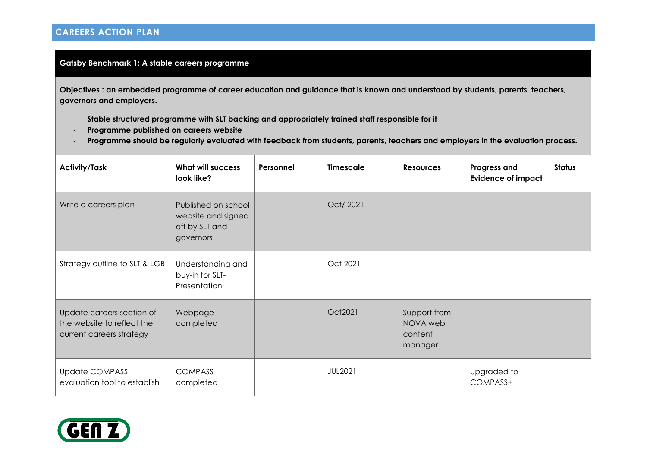### **Gatsby Benchmark 1: A stable careers programme**

**Objectives : an embedded programme of career education and guidance that is known and understood by students, parents, teachers, governors and employers.**

- **Stable structured programme with SLT backing and appropriately trained staff responsible for it**
- **Programme published on careers website**
- **Programme should be regularly evaluated with feedback from students, parents, teachers and employers in the evaluation process.**

| <b>Activity/Task</b>                                                                | <b>What will success</b><br>look like?                                   | Personnel | <b>Timescale</b> | <b>Resources</b>                               | Progress and<br><b>Evidence of impact</b> | <b>Status</b> |
|-------------------------------------------------------------------------------------|--------------------------------------------------------------------------|-----------|------------------|------------------------------------------------|-------------------------------------------|---------------|
| Write a careers plan                                                                | Published on school<br>website and signed<br>off by SLT and<br>governors |           | Oct/2021         |                                                |                                           |               |
| Strategy outline to SLT & LGB                                                       | Understanding and<br>buy-in for SLT-<br>Presentation                     |           | Oct 2021         |                                                |                                           |               |
| Update careers section of<br>the website to reflect the<br>current careers strategy | Webpage<br>completed                                                     |           | Oct2021          | Support from<br>NOVA web<br>content<br>manager |                                           |               |
| <b>Update COMPASS</b><br>evaluation tool to establish                               | <b>COMPASS</b><br>completed                                              |           | JUL2021          |                                                | Upgraded to<br>COMPASS+                   |               |

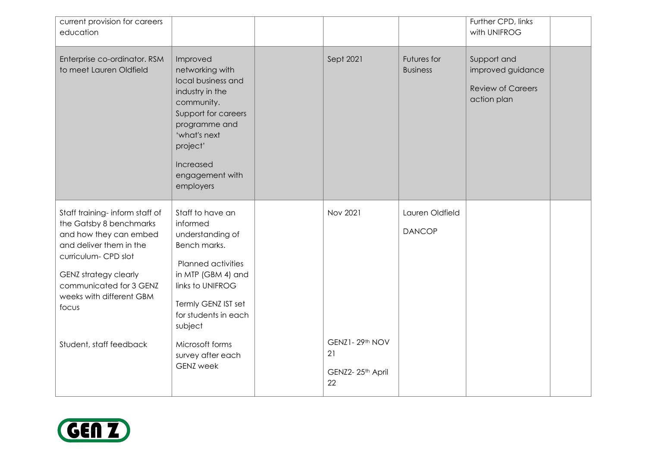| current provision for careers<br>education                                                                                                                                                                                                                 |                                                                                                                                                                                                                                                        |                                                            |                                  | Further CPD, links<br>with UNIFROG                                          |  |
|------------------------------------------------------------------------------------------------------------------------------------------------------------------------------------------------------------------------------------------------------------|--------------------------------------------------------------------------------------------------------------------------------------------------------------------------------------------------------------------------------------------------------|------------------------------------------------------------|----------------------------------|-----------------------------------------------------------------------------|--|
| Enterprise co-ordinator. RSM<br>to meet Lauren Oldfield                                                                                                                                                                                                    | Improved<br>networking with<br>local business and<br>industry in the<br>community.<br>Support for careers<br>programme and<br>'what's next<br>project'<br>Increased<br>engagement with<br>employers                                                    | Sept 2021                                                  | Futures for<br><b>Business</b>   | Support and<br>improved guidance<br><b>Review of Careers</b><br>action plan |  |
| Staff training-inform staff of<br>the Gatsby 8 benchmarks<br>and how they can embed<br>and deliver them in the<br>curriculum- CPD slot<br>GENZ strategy clearly<br>communicated for 3 GENZ<br>weeks with different GBM<br>focus<br>Student, staff feedback | Staff to have an<br>informed<br>understanding of<br>Bench marks.<br>Planned activities<br>in MTP (GBM 4) and<br>links to UNIFROG<br>Termly GENZ IST set<br>for students in each<br>subject<br>Microsoft forms<br>survey after each<br><b>GENZ</b> week | Nov 2021<br>GENZ1-29th NOV<br>21<br>GENZ2-25th April<br>22 | Lauren Oldfield<br><b>DANCOP</b> |                                                                             |  |

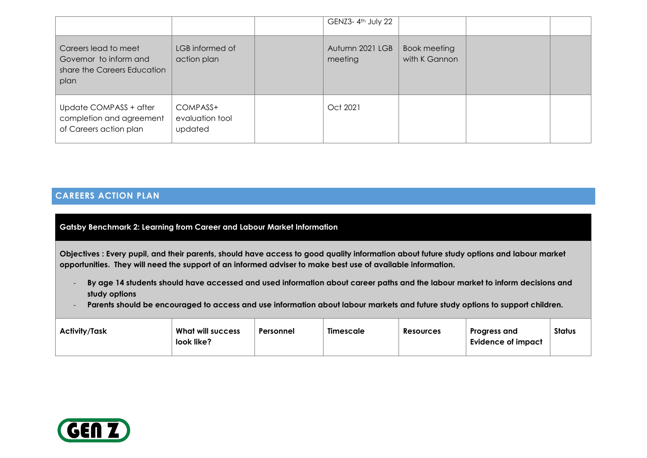|                                                                                       |                                        | GENZ3-4th July 22          |                               |  |
|---------------------------------------------------------------------------------------|----------------------------------------|----------------------------|-------------------------------|--|
| Careers lead to meet<br>Governor to inform and<br>share the Careers Education<br>plan | LGB informed of<br>action plan         | Autumn 2021 LGB<br>meeting | Book meeting<br>with K Gannon |  |
| Update COMPASS + after<br>completion and agreement<br>of Careers action plan          | COMPASS+<br>evaluation tool<br>updated | Oct 2021                   |                               |  |

**Gatsby Benchmark 2: Learning from Career and Labour Market Information** 

**Objectives : Every pupil, and their parents, should have access to good quality information about future study options and labour market opportunities. They will need the support of an informed adviser to make best use of available information.** 

- **By age 14 students should have accessed and used information about career paths and the labour market to inform decisions and study options**
- **Parents should be encouraged to access and use information about labour markets and future study options to support children.**

| <b>Activity/Task</b> | What will success<br>look like? | Personnel | Timescale | <b>Resources</b> | Progress and<br>Evidence of impact | <b>Status</b> |
|----------------------|---------------------------------|-----------|-----------|------------------|------------------------------------|---------------|
|----------------------|---------------------------------|-----------|-----------|------------------|------------------------------------|---------------|

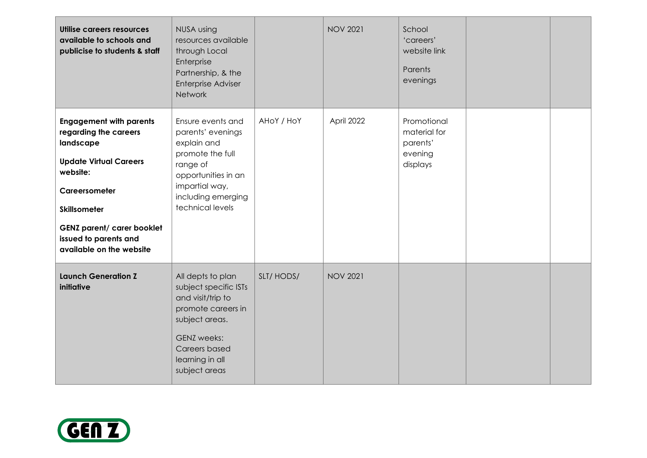| Utilise careers resources<br>available to schools and<br>publicise to students & staff                                                                                                                                                              | NUSA using<br>resources available<br>through Local<br>Enterprise<br>Partnership, & the<br><b>Enterprise Adviser</b><br><b>Network</b>                                              |            | <b>NOV 2021</b> | School<br>'careers'<br>website link<br>Parents<br>evenings     |  |
|-----------------------------------------------------------------------------------------------------------------------------------------------------------------------------------------------------------------------------------------------------|------------------------------------------------------------------------------------------------------------------------------------------------------------------------------------|------------|-----------------|----------------------------------------------------------------|--|
| <b>Engagement with parents</b><br>regarding the careers<br>landscape<br><b>Update Virtual Careers</b><br>website:<br>Careersometer<br><b>Skillsometer</b><br><b>GENZ parent/ carer booklet</b><br>issued to parents and<br>available on the website | Ensure events and<br>parents' evenings<br>explain and<br>promote the full<br>range of<br>opportunities in an<br>impartial way,<br>including emerging<br>technical levels           | AHOY / HOY | April 2022      | Promotional<br>material for<br>parents'<br>evening<br>displays |  |
| <b>Launch Generation Z</b><br>initiative                                                                                                                                                                                                            | All depts to plan<br>subject specific ISTs<br>and visit/trip to<br>promote careers in<br>subject areas.<br><b>GENZ</b> weeks:<br>Careers based<br>learning in all<br>subject areas | SLT/HODS/  | <b>NOV 2021</b> |                                                                |  |

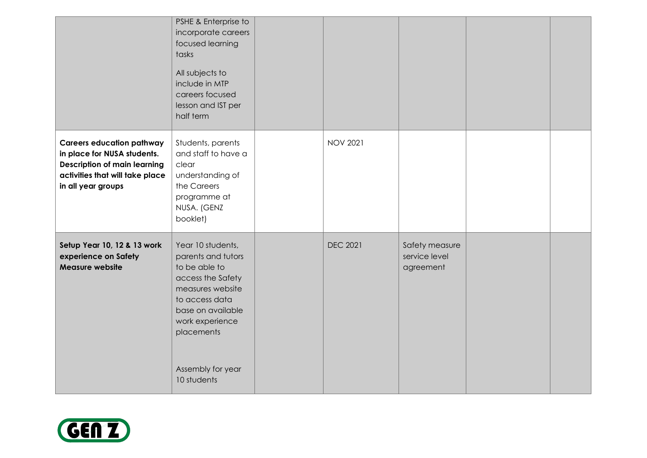|                                                                                                                                                                 | PSHE & Enterprise to<br>incorporate careers<br>focused learning<br>tasks<br>All subjects to<br>include in MTP<br>careers focused<br>lesson and IST per<br>half term                                           |                 |                                              |  |
|-----------------------------------------------------------------------------------------------------------------------------------------------------------------|---------------------------------------------------------------------------------------------------------------------------------------------------------------------------------------------------------------|-----------------|----------------------------------------------|--|
| <b>Careers education pathway</b><br>in place for NUSA students.<br><b>Description of main learning</b><br>activities that will take place<br>in all year groups | Students, parents<br>and staff to have a<br>clear<br>understanding of<br>the Careers<br>programme at<br>NUSA. (GENZ<br>booklet)                                                                               | <b>NOV 2021</b> |                                              |  |
| Setup Year 10, 12 & 13 work<br>experience on Safety<br><b>Measure website</b>                                                                                   | Year 10 students,<br>parents and tutors<br>to be able to<br>access the Safety<br>measures website<br>to access data<br>base on available<br>work experience<br>placements<br>Assembly for year<br>10 students | <b>DEC 2021</b> | Safety measure<br>service level<br>agreement |  |

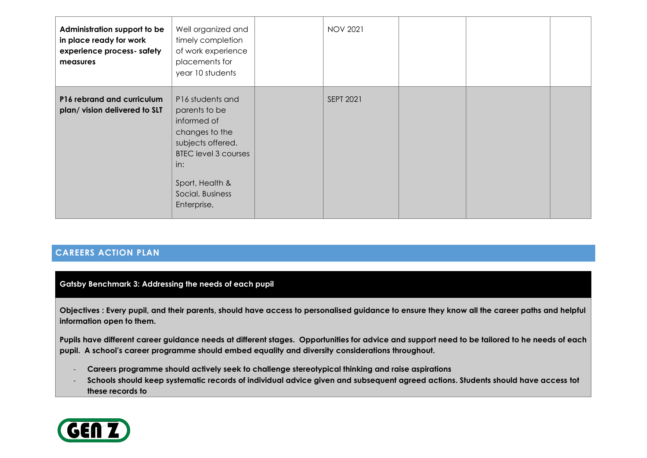| Administration support to be<br>in place ready for work<br>experience process- safety<br>measures | Well organized and<br>timely completion<br>of work experience<br>placements for<br>year 10 students                                                                                 | <b>NOV 2021</b>  |  |  |
|---------------------------------------------------------------------------------------------------|-------------------------------------------------------------------------------------------------------------------------------------------------------------------------------------|------------------|--|--|
| P16 rebrand and curriculum<br>plan/vision delivered to SLT                                        | P16 students and<br>parents to be<br>informed of<br>changes to the<br>subjects offered.<br><b>BTEC level 3 courses</b><br>in:<br>Sport, Health &<br>Social, Business<br>Enterprise, | <b>SEPT 2021</b> |  |  |

#### **Gatsby Benchmark 3: Addressing the needs of each pupil**

**Objectives : Every pupil, and their parents, should have access to personalised guidance to ensure they know all the career paths and helpful information open to them.** 

**Pupils have different career guidance needs at different stages. Opportunities for advice and support need to be tailored to he needs of each pupil. A school's career programme should embed equality and diversity considerations throughout.** 

- **Careers programme should actively seek to challenge stereotypical thinking and raise aspirations**
- **Schools should keep systematic records of individual advice given and subsequent agreed actions. Students should have access tot these records to**

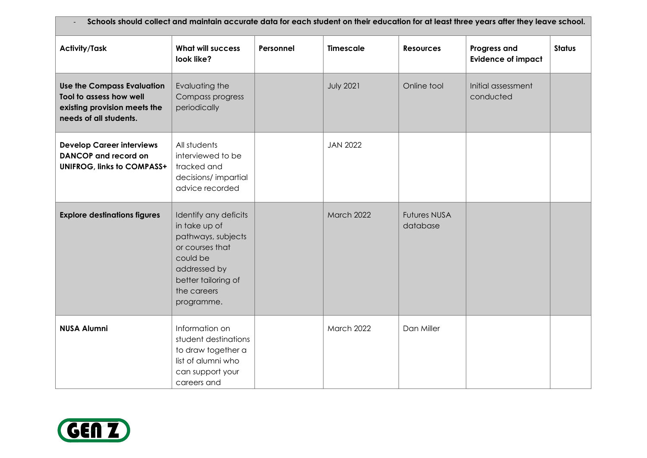| Schools should collect and maintain accurate data for each student on their education for at least three years after they leave school. |                                                                                                                                                                 |           |                   |                                 |                                           |               |  |  |  |
|-----------------------------------------------------------------------------------------------------------------------------------------|-----------------------------------------------------------------------------------------------------------------------------------------------------------------|-----------|-------------------|---------------------------------|-------------------------------------------|---------------|--|--|--|
| <b>Activity/Task</b>                                                                                                                    | <b>What will success</b><br>look like?                                                                                                                          | Personnel | <b>Timescale</b>  | <b>Resources</b>                | Progress and<br><b>Evidence of impact</b> | <b>Status</b> |  |  |  |
| <b>Use the Compass Evaluation</b><br>Tool to assess how well<br>existing provision meets the<br>needs of all students.                  | Evaluating the<br>Compass progress<br>periodically                                                                                                              |           | <b>July 2021</b>  | Online tool                     | Initial assessment<br>conducted           |               |  |  |  |
| <b>Develop Career interviews</b><br><b>DANCOP</b> and record on<br><b>UNIFROG, links to COMPASS+</b>                                    | All students<br>interviewed to be<br>tracked and<br>decisions/impartial<br>advice recorded                                                                      |           | <b>JAN 2022</b>   |                                 |                                           |               |  |  |  |
| <b>Explore destinations figures</b>                                                                                                     | Identify any deficits<br>in take up of<br>pathways, subjects<br>or courses that<br>could be<br>addressed by<br>better tailoring of<br>the careers<br>programme. |           | <b>March 2022</b> | <b>Futures NUSA</b><br>database |                                           |               |  |  |  |
| <b>NUSA Alumni</b>                                                                                                                      | Information on<br>student destinations<br>to draw together a<br>list of alumni who<br>can support your<br>careers and                                           |           | March 2022        | Dan Miller                      |                                           |               |  |  |  |

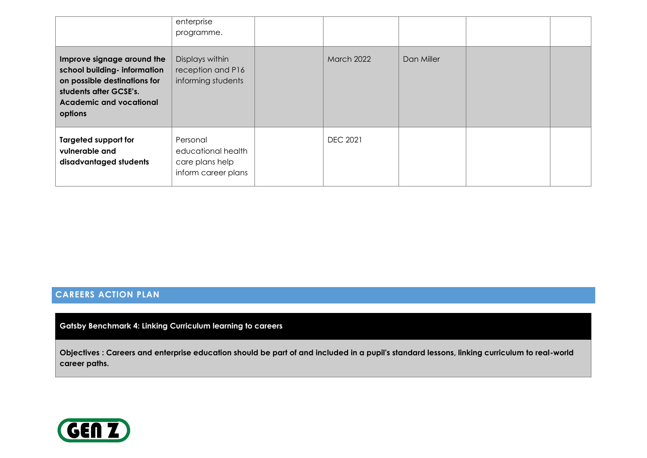|                                                                                                                                                                   | enterprise<br>programme.                                                 |                   |            |  |
|-------------------------------------------------------------------------------------------------------------------------------------------------------------------|--------------------------------------------------------------------------|-------------------|------------|--|
| Improve signage around the<br>school building- information<br>on possible destinations for<br>students after GCSE's.<br><b>Academic and vocational</b><br>options | Displays within<br>reception and P16<br>informing students               | <b>March 2022</b> | Dan Miller |  |
| <b>Targeted support for</b><br>vulnerable and<br>disadvantaged students                                                                                           | Personal<br>educational health<br>care plans help<br>inform career plans | <b>DEC 2021</b>   |            |  |

**Gatsby Benchmark 4: Linking Curriculum learning to careers** 

**Objectives : Careers and enterprise education should be part of and included in a pupil's standard lessons, linking curriculum to real-world career paths.**

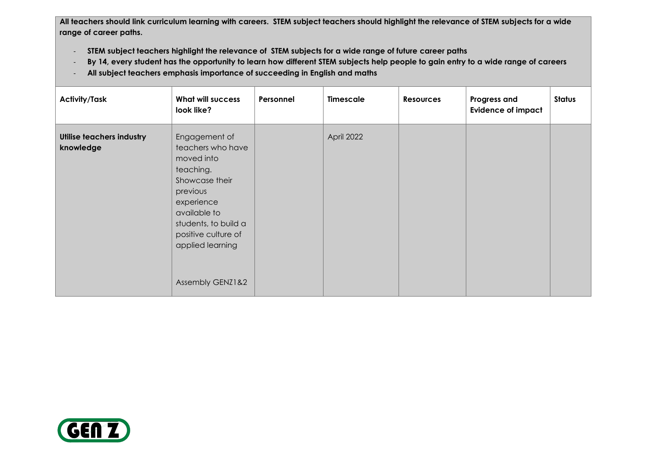**All teachers should link curriculum learning with careers. STEM subject teachers should highlight the relevance of STEM subjects for a wide range of career paths.** 

- **STEM subject teachers highlight the relevance of STEM subjects for a wide range of future career paths**
- **By 14, every student has the opportunity to learn how different STEM subjects help people to gain entry to a wide range of careers**
- **All subject teachers emphasis importance of succeeding in English and maths**

| <b>Activity/Task</b>                   | <b>What will success</b><br>look like?                                                                                                                                                                           | Personnel | <b>Timescale</b> | <b>Resources</b> | Progress and<br><b>Evidence of impact</b> | <b>Status</b> |
|----------------------------------------|------------------------------------------------------------------------------------------------------------------------------------------------------------------------------------------------------------------|-----------|------------------|------------------|-------------------------------------------|---------------|
| Utilise teachers industry<br>knowledge | Engagement of<br>teachers who have<br>moved into<br>teaching.<br>Showcase their<br>previous<br>experience<br>available to<br>students, to build a<br>positive culture of<br>applied learning<br>Assembly GENZ1&2 |           | April 2022       |                  |                                           |               |

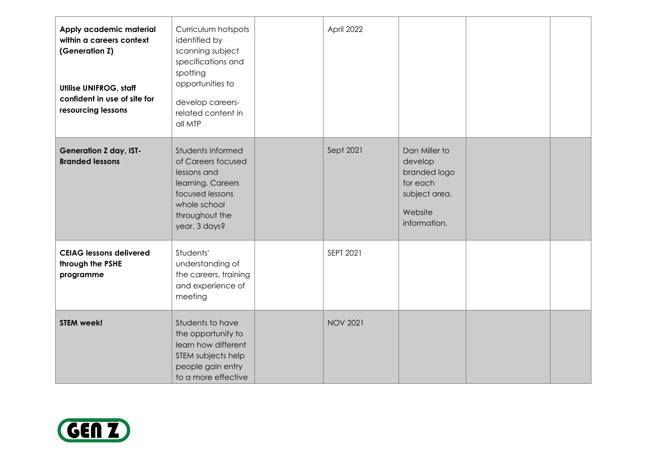| Apply academic material<br>within a careers context<br>(Generation Z)<br><b>Utilise UNIFROG, staff</b><br>confident in use of site for<br>resourcing lessons | Curriculum hotspots<br>identified by<br>scanning subject<br>specifications and<br>spotting<br>opportunities to<br>develop careers-<br>related content in<br>all MTP | April 2022      |                                                                                                  |  |
|--------------------------------------------------------------------------------------------------------------------------------------------------------------|---------------------------------------------------------------------------------------------------------------------------------------------------------------------|-----------------|--------------------------------------------------------------------------------------------------|--|
| <b>Generation Z day, IST-</b><br><b>Branded lessons</b>                                                                                                      | Students informed<br>of Careers focused<br>lessons and<br>learning. Careers<br>focused lessons<br>whole school<br>throughout the<br>year. 3 days?                   | Sept 2021       | Dan Miller to<br>develop<br>branded logo<br>for each<br>subject area.<br>Website<br>information. |  |
| <b>CEIAG lessons delivered</b><br>through the PSHE<br>programme                                                                                              | Students'<br>understanding of<br>the careers, training<br>and experience of<br>meeting                                                                              | SEPT 2021       |                                                                                                  |  |
| <b>STEM week!</b>                                                                                                                                            | Students to have<br>the opportunity to<br>learn how different<br>STEM subjects help<br>people gain entry<br>to a more effective                                     | <b>NOV 2021</b> |                                                                                                  |  |

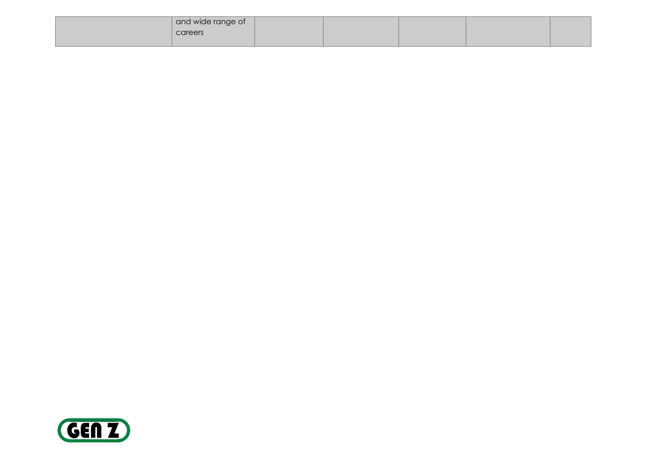| and wide range of |  |  |  |
|-------------------|--|--|--|
| careers           |  |  |  |
|                   |  |  |  |

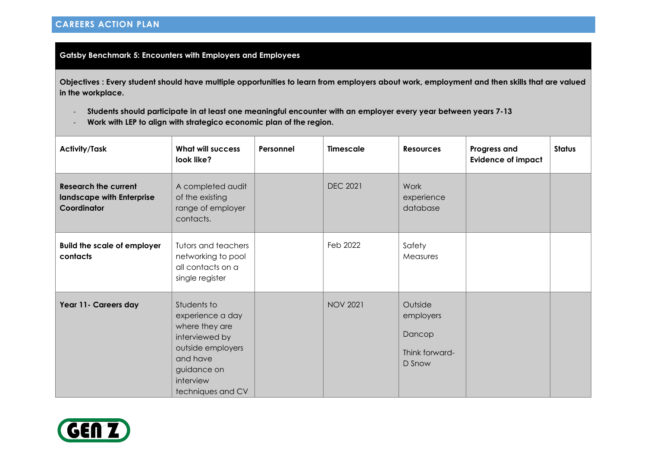**Gatsby Benchmark 5: Encounters with Employers and Employees**

**Objectives : Every student should have multiple opportunities to learn from employers about work, employment and then skills that are valued in the workplace.**

- **Students should participate in at least one meaningful encounter with an employer every year between years 7-13**
- **Work with LEP to align with strategico economic plan of the region.**

| <b>Activity/Task</b>                                                    | <b>What will success</b><br>look like?                                                                                                                | Personnel | <b>Timescale</b> | <b>Resources</b>                                           | Progress and<br><b>Evidence of impact</b> | <b>Status</b> |
|-------------------------------------------------------------------------|-------------------------------------------------------------------------------------------------------------------------------------------------------|-----------|------------------|------------------------------------------------------------|-------------------------------------------|---------------|
| <b>Research the current</b><br>landscape with Enterprise<br>Coordinator | A completed audit<br>of the existing<br>range of employer<br>contacts.                                                                                |           | <b>DEC 2021</b>  | Work<br>experience<br>database                             |                                           |               |
| <b>Build the scale of employer</b><br>contacts                          | Tutors and teachers<br>networking to pool<br>all contacts on a<br>single register                                                                     |           | Feb 2022         | Safety<br>Measures                                         |                                           |               |
| Year 11- Careers day                                                    | Students to<br>experience a day<br>where they are<br>interviewed by<br>outside employers<br>and have<br>guidance on<br>interview<br>techniques and CV |           | <b>NOV 2021</b>  | Outside<br>employers<br>Dancop<br>Think forward-<br>D Snow |                                           |               |

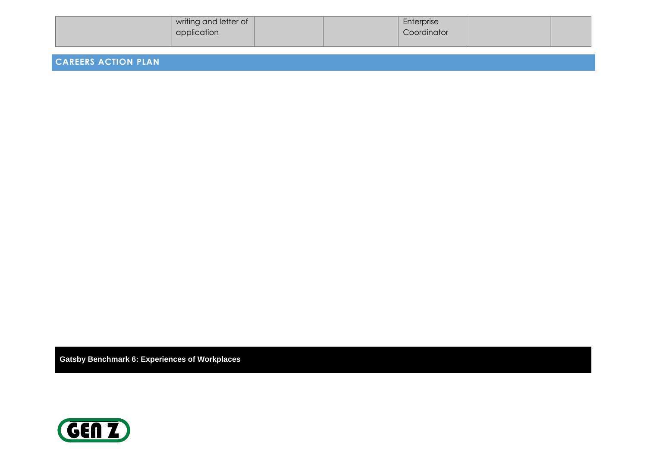| writing and letter of |  | Enterprise  |  |
|-----------------------|--|-------------|--|
| application           |  | Coordinator |  |
|                       |  |             |  |

**Gatsby Benchmark 6: Experiences of Workplaces**

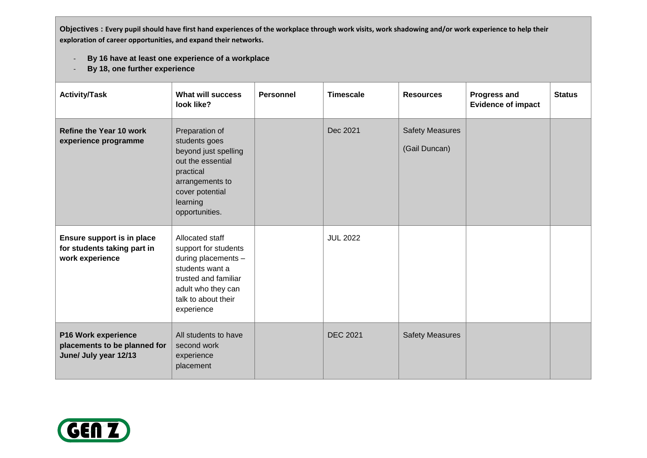**Objectives : Every pupil should have first hand experiences of the workplace through work visits, work shadowing and/or work experience to help their exploration of career opportunities, and expand their networks.** 

- **By 16 have at least one experience of a workplace**
- **By 18, one further experience**

| <b>Activity/Task</b>                                                         | What will success<br>look like?                                                                                                                                      | <b>Personnel</b> | <b>Timescale</b> | <b>Resources</b>                        | <b>Progress and</b><br><b>Evidence of impact</b> | <b>Status</b> |
|------------------------------------------------------------------------------|----------------------------------------------------------------------------------------------------------------------------------------------------------------------|------------------|------------------|-----------------------------------------|--------------------------------------------------|---------------|
| <b>Refine the Year 10 work</b><br>experience programme                       | Preparation of<br>students goes<br>beyond just spelling<br>out the essential<br>practical<br>arrangements to<br>cover potential<br>learning<br>opportunities.        |                  | Dec 2021         | <b>Safety Measures</b><br>(Gail Duncan) |                                                  |               |
| Ensure support is in place<br>for students taking part in<br>work experience | Allocated staff<br>support for students<br>during placements -<br>students want a<br>trusted and familiar<br>adult who they can<br>talk to about their<br>experience |                  | <b>JUL 2022</b>  |                                         |                                                  |               |
| P16 Work experience<br>placements to be planned for<br>June/ July year 12/13 | All students to have<br>second work<br>experience<br>placement                                                                                                       |                  | <b>DEC 2021</b>  | <b>Safety Measures</b>                  |                                                  |               |

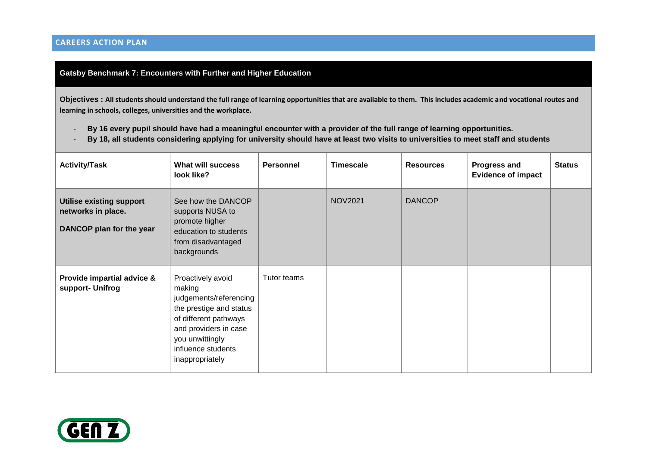### **Gatsby Benchmark 7: Encounters with Further and Higher Education**

**Objectives : All students should understand the full range of learning opportunities that are available to them. This includes academic and vocational routes and learning in schools, colleges, universities and the workplace.** 

- **By 16 every pupil should have had a meaningful encounter with a provider of the full range of learning opportunities.**
- **By 18, all students considering applying for university should have at least two visits to universities to meet staff and students**

| <b>Activity/Task</b>                                                              | <b>What will success</b><br>look like?                                                                                                                                                         | <b>Personnel</b> | <b>Timescale</b> | <b>Resources</b> | <b>Progress and</b><br><b>Evidence of impact</b> | <b>Status</b> |
|-----------------------------------------------------------------------------------|------------------------------------------------------------------------------------------------------------------------------------------------------------------------------------------------|------------------|------------------|------------------|--------------------------------------------------|---------------|
| <b>Utilise existing support</b><br>networks in place.<br>DANCOP plan for the year | See how the DANCOP<br>supports NUSA to<br>promote higher<br>education to students<br>from disadvantaged<br>backgrounds                                                                         |                  | <b>NOV2021</b>   | <b>DANCOP</b>    |                                                  |               |
| Provide impartial advice &<br>support- Unifrog                                    | Proactively avoid<br>making<br>judgements/referencing<br>the prestige and status<br>of different pathways<br>and providers in case<br>you unwittingly<br>influence students<br>inappropriately | Tutor teams      |                  |                  |                                                  |               |

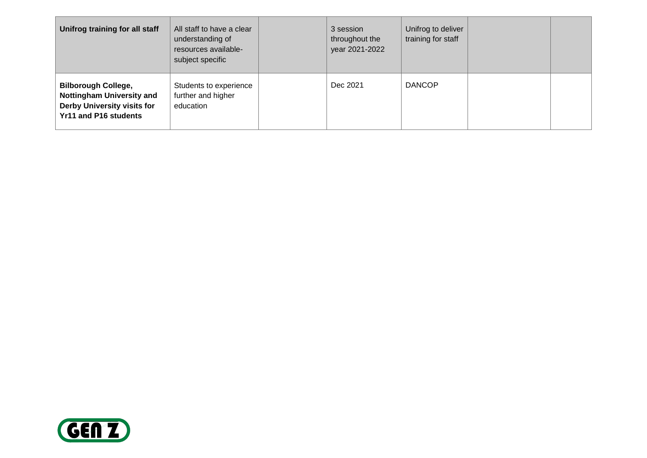| Unifrog training for all staff                                                                                         | All staff to have a clear<br>understanding of<br>resources available-<br>subject specific | 3 session<br>throughout the<br>year 2021-2022 | Unifrog to deliver<br>training for staff |  |
|------------------------------------------------------------------------------------------------------------------------|-------------------------------------------------------------------------------------------|-----------------------------------------------|------------------------------------------|--|
| <b>Bilborough College,</b><br><b>Nottingham University and</b><br>Derby University visits for<br>Yr11 and P16 students | Students to experience<br>further and higher<br>education                                 | Dec 2021                                      | <b>DANCOP</b>                            |  |

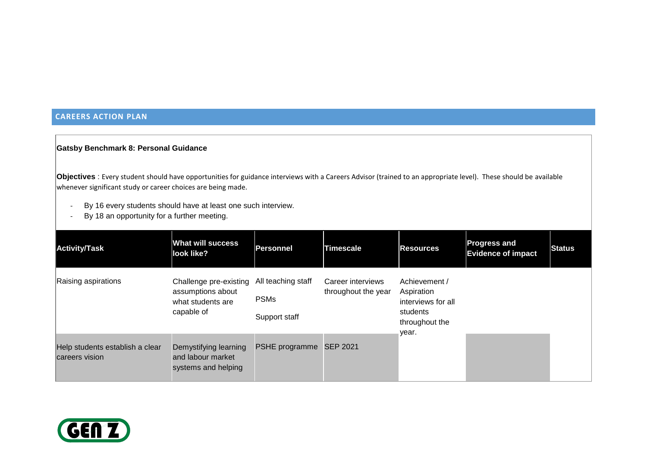### **Gatsby Benchmark 8: Personal Guidance**

**Objectives** : Every student should have opportunities for guidance interviews with a Careers Advisor (trained to an appropriate level). These should be available whenever significant study or career choices are being made.

- By 16 every students should have at least one such interview.
- By 18 an opportunity for a further meeting.

| <b>Activity/Task</b>                              | <b>What will success</b><br>look like?                                         | <b>Personnel</b>                                   | <b>Timescale</b>                         | <b>Resources</b>                                                                         | <b>Progress and</b><br><b>Evidence of impact</b> | <b>Status</b> |
|---------------------------------------------------|--------------------------------------------------------------------------------|----------------------------------------------------|------------------------------------------|------------------------------------------------------------------------------------------|--------------------------------------------------|---------------|
| Raising aspirations                               | Challenge pre-existing<br>assumptions about<br>what students are<br>capable of | All teaching staff<br><b>PSMs</b><br>Support staff | Career interviews<br>throughout the year | Achievement /<br>Aspiration<br>interviews for all<br>students<br>throughout the<br>year. |                                                  |               |
| Help students establish a clear<br>careers vision | Demystifying learning<br>and labour market<br>systems and helping              | PSHE programme                                     | <b>SEP 2021</b>                          |                                                                                          |                                                  |               |